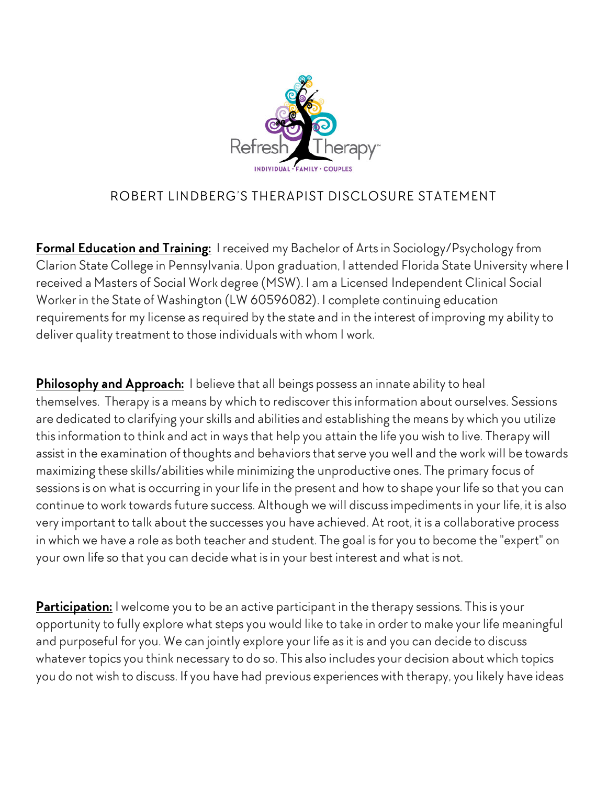

## ROBERT LINDBERG'S THERAPIST DISCLOSURE STATEMENT

**Formal Education and Training:** I received my Bachelor of Arts in Sociology/Psychology from Clarion State College in Pennsylvania. Upon graduation, I attended Florida State University where I received a Masters of Social Work degree (MSW). I am a Licensed Independent Clinical Social Worker in the State of Washington (LW 60596082). I complete continuing education requirements for my license as required by the state and in the interest of improving my ability to deliver quality treatment to those individuals with whom I work.

**Philosophy and Approach:** I believe that all beings possess an innate ability to heal themselves. Therapy is a means by which to rediscover this information about ourselves. Sessions are dedicated to clarifying your skills and abilities and establishing the means by which you utilize this information to think and act in ways that help you attain the life you wish to live. Therapy will assist in the examination of thoughts and behaviors that serve you well and the work will be towards maximizing these skills/abilities while minimizing the unproductive ones. The primary focus of sessions is on what is occurring in your life in the present and how to shape your life so that you can continue to work towards future success. Although we will discuss impediments in your life, it is also very important to talk about the successes you have achieved. At root, it is a collaborative process in which we have a role as both teacher and student. The goal is for you to become the "expert" on your own life so that you can decide what is in your best interest and what is not.

**Participation:** I welcome you to be an active participant in the therapy sessions. This is your opportunity to fully explore what steps you would like to take in order to make your life meaningful and purposeful for you. We can jointly explore your life as it is and you can decide to discuss whatever topics you think necessary to do so. This also includes your decision about which topics you do not wish to discuss. If you have had previous experiences with therapy, you likely have ideas